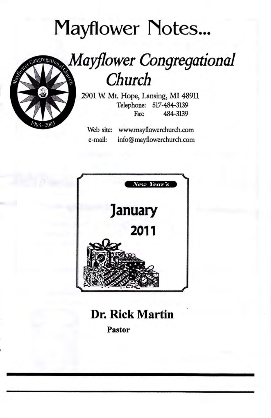# **Mayflower Notes...**



# **Mayflower Congregational** Church

2901 W. Mt. Hope, Lansing, MI 48911 Telephone: 517-484-3139 484-3139 Fax:

Web site: www.mayflowerchurch.com e-mail: info@mayflowerchurch.com



## **Dr. Rick Martin**

**Pastor**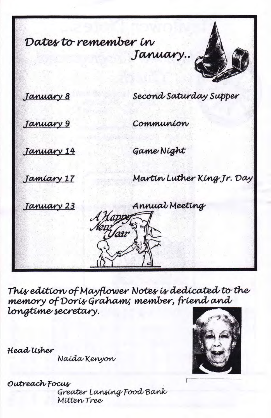Dates to remember in January..



January 8

Second Saturday Supper

January 9

Communion

January 14

Game Night

Tamiary 17

Martin Luther King Jr. Day

January 23

Annual Meeting

This edition of Mayflower Notes is dedicated to the memory of Doris Graham; member, friend and longtime secretary.

Vear

Head Usher

Naida Kenyon

Outreach Focus Greater Lansing Food Bank Mitten Tree

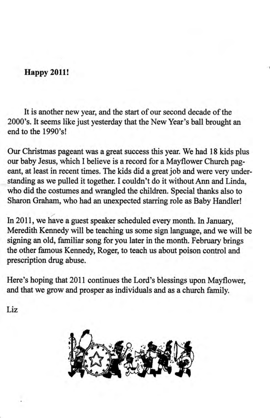### **Happy 2011!**

It is another new year, and the start of our second decade of the 2000's. It seems like just yesterday that the New Year's ball brought an end to the 1990's!

Our Christmas pageant was a great success this year. We had 18 kids plus our baby Jesus, which I believe is a record for a Mayflower Church pageant, at least in recent times. The kids did a great job and were very understanding as we pulled it together. I couldn't do it without Ann and Linda, who did the costumes and wrangled the children. Special thanks also to Sharon Graham, who had an unexpected starring role as Baby Handler!

In 2011, we have a guest speaker scheduled every month. In January, Meredith Kennedy will be teaching us some sign language, and we will be signing an old, familiar song for you later in the month. February brings the other farnous Kennedy, Roger, to teach us about poison control and prescription drug abuse.

Here's hoping that 2011 continues the Lord's blessings upon Mayflower, and that we grow and prosper as individuals and as a church family.

Liz

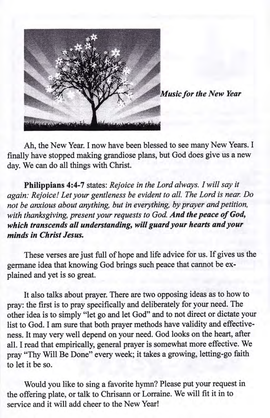

Music for the New Year

Ah, the New Year. I now have been blessed to see many New Years. I finally have stopped making grandiose plans, but God does give us a new day. We can do all things with Christ.

Philippians 4:4-7 states: Rejoice in the Lord always. I will say it again: Rejoice! Let your gentleness be evident to all. The Lord is near. Do not be anxious about anything, but in everything, by prayer and petition, with thanksgiving, present your requests to God. And the peace of God. which transcends all understanding, will guard your hearts and your minds in Christ Jesus.

These verses are just full of hope and life advice for us. If gives us the germane idea that knowing God brings such peace that cannot be explained and yet is so great.

It also talks about prayer. There are two opposing ideas as to how to pray: the first is to pray specifically and deliberately for your need. The other idea is to simply "let go and let God" and to not direct or dictate your list to God. I am sure that both prayer methods have validity and effectiveness. It may very well depend on your need. God looks on the heart, after all. I read that empirically, general prayer is somewhat more effective. We pray "Thy Will Be Done" every week; it takes a growing, letting-go faith to let it be so.

Would you like to sing a favorite hymn? Please put your request in the offering plate, or talk to Chrisann or Lorraine. We will fit it in to service and it will add cheer to the New Year!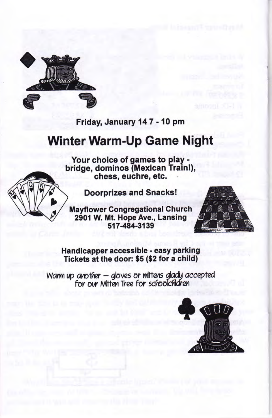

Friday, January 147 - 10 pm

## Winter Warm-Up Game Night

Your choice of games to play bridge, dominos (Mexican Trainl), chess, euchre, etc.



Doorprizes and Snacks!

Mayflower Congregational Church 2901 W. Mt. Hope Ave., Lansing 517484-3139



Handicapper accessible - easy parking Tickets at the door: \$s (\$z for a child)

Warm up another  $-$  gloves or mittens glady accepted for our Mitten Tree for schoolchidren

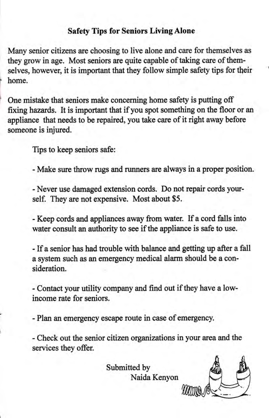### Safety Tips for Seniors LivingAlone

Many senior citizens are choosing to live alone and care for themselves as they grow in age. Most seniors are quite capable of taking care of themselves, however, it is important that they follow simple safety tips for their home.

One mistake that seniors make concerning home safety is putting off fixing hazards. It is important that if you spot something on the floor or an appliance that needs to be repaired, you take care of it right away before someone is injured.

Tips to keep seniors safe:

- Make sure throw rugs and runners are always in a proper position.

- Never use damaged extension cords. Do not repair cords yourself. They are not expensive. Most about \$5.

- Keep cords and appliances away from water. If a cord falls into water consult an authority to see if the appliance is safe to use.

- If a senior has had trouble with balance and getting up after a fall a system such as an emergency medical alarm should be a consideration.

- Contact your utility company and find out if they have a lowincome rate for seniors.

- Plan an emergency escape route in case of emergency.

- Check out the senior citizen organizations in your area and the services they offer.

Submitted by

Naida Kenyon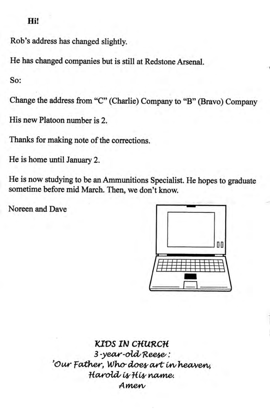#### Hi!

Rob's address has changed slightly.

He has changed companies but is still at Redstone Arsenal.

So:

Change the address from "C" (Charlie) Company to "B" (Bravo) Company

His new Platoon number is 2.

Thanks for making note of the corrections.

He is home until January 2.

He is now studying to be an Ammunitions Specialist. He hopes to graduate sometime before mid March. Then, we don't know.

Noreen and Dave



**KIDS IN CHURCH** 3-year-old Reese: 'Our Father, Who does art in heaven, Harold is His name. Amen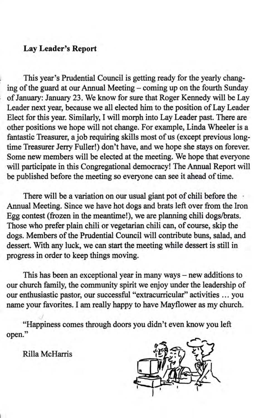### Lay Leader's Report

This year's Prudential Council is getting ready for the yearly changing of the guard at our Annual Meeting - coming up on the fourth Sunday of January: January 23. We know for sure that Roger Kennedy will be Lay Leader next year, because we all elected him to the position of Lay Leader Eleot for this year. Similarly, I will morph into Lay Leader past. There are other positions we hope will not change. For example, Linda Wheeler is a fantastic Treasurer, a job requiring skills most of us (except previous longtime Treasurer Jerry Fuller!) don't have, and we hope she stays on forever. Some new members will be elected at the meeting. We hope that everyone will participate in this Congregational democracy! The Annual Report will be published before the meeting so everyone can see it ahead of time.

There will be a variation on our usual giant pot of chili before the Annual Meeting. Since we have hot dogs and brats left over from the Iron Egg contest (frozen in the meantime!), we are planning chili dogs/brats. Those who prefer plain chili or vegetarian chili can, of course, skip the dogs. Members of the Prudential Council will contibute buns, salad, and dessert. With any luck, we can start the meeting while dessert is still in progress in order to keep things moving.

This has been an exceptional year in many ways  $-$  new additions to our church family, the community spirit we enjoy under the leadership of our enthusiastic pastor, our successful "extracurricular" activities ... you narne your favorites. I am really happy to have Mayflower as my church.

"Happiness comes through doors you didn't even know you left open."

Rilla McHarris

!

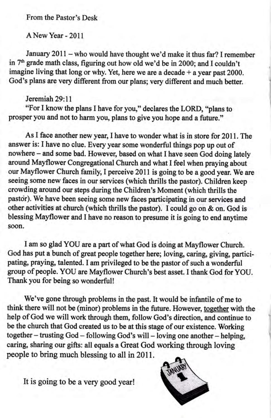From the Pastor's Desk

ANewYear - 2011

January 2011 - who would have thought we'd make it thus far? I remember in 7<sup>th</sup> grade math class, figuring out how old we'd be in 2000; and I couldn't imagine living that long or why. Yet, here we are a decade  $+$  a year past 2000. God's plans are very different from our plans; very different and much better.

#### Jeremiah 29:11

"For f know the plans I have for you," declares the LORD, "plans to prosper you and not to harm you, plans to give you hope and a future."

As I face another new year, I have to wonder what is in store for 2011. The answer is: I have no clue. Every year some wonderful things pop up out of nowhere - and some bad. However, based on what I have seen God doing lately around Mayflower Congregational Church and what I feel when praying about our Mayflower Church family, I perceive 2011 is going to be a good year. We are seeing some new faces in our services (which thrills the pastor). Children keep crowding around our steps during the Children's Moment (which thrills the pastor). We have been seeing some new faces participating in our services and other activities at church (which thrills the pastor). I could go on & on. God is blessing Mayflower and I have no reason to presume it is going to end anytime soon.

I am so glad YOU are a part of what God is doing at Mayflower Church. God has put a bunch of great people together here; loving, caring, giving, participating, praying, talented. I am privileged to be the pastor of such a wonderful group of people. YOU are Mayflower Church's best asset. I thank God for YOU. Thankyou for being so wonderful!

We've gone through problems in the past. It would be infantile of me to think there will not be (minor) problems in the future. However, together with the help of God we will work through them, follow God's direction, and continue to be the church that God created us to be at this stage of our existence. Working together - trusting God - following God's will - loving one another - helping, caring, sharing our gifts: all equals a Great God working through loving people to bring much blessing to all in 2011.

It is going to be a very good year!